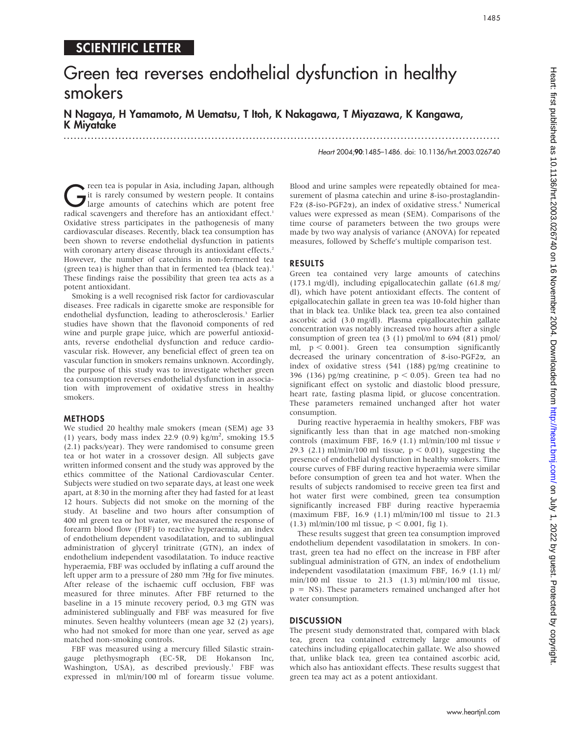## SCIENTIFIC LETTER

# Green tea reverses endothelial dysfunction in healthy smokers

N Nagaya, H Yamamoto, M Uematsu, T Itoh, K Nakagawa, T Miyazawa, K Kangawa, K Miyatake

...............................................................................................................................

Heart 2004;90:1485–1486. doi: 10.1136/hrt.2003.026740

The reen tea is popular in Asia, including Japan, although<br>it is rarely consumed by western people. It contains<br>large amounts of catechins which are potent free<br>radical scaveneers and therefore has an antioxidant effect it is rarely consumed by western people. It contains radical scavengers and therefore has an antioxidant effect.<sup>1</sup> Oxidative stress participates in the pathogenesis of many cardiovascular diseases. Recently, black tea consumption has been shown to reverse endothelial dysfunction in patients with coronary artery disease through its antioxidant effects.<sup>2</sup> However, the number of catechins in non-fermented tea (green tea) is higher than that in fermented tea (black tea).<sup>1</sup> These findings raise the possibility that green tea acts as a potent antioxidant.

Smoking is a well recognised risk factor for cardiovascular diseases. Free radicals in cigarette smoke are responsible for endothelial dysfunction, leading to atherosclerosis.<sup>3</sup> Earlier studies have shown that the flavonoid components of red wine and purple grape juice, which are powerful antioxidants, reverse endothelial dysfunction and reduce cardiovascular risk. However, any beneficial effect of green tea on vascular function in smokers remains unknown. Accordingly, the purpose of this study was to investigate whether green tea consumption reverses endothelial dysfunction in association with improvement of oxidative stress in healthy smokers.

#### **METHODS**

We studied 20 healthy male smokers (mean (SEM) age 33 (1) years, body mass index 22.9 (0.9) kg/m<sup>2</sup> , smoking 15.5 (2.1) packs/year). They were randomised to consume green tea or hot water in a crossover design. All subjects gave written informed consent and the study was approved by the ethics committee of the National Cardiovascular Center. Subjects were studied on two separate days, at least one week apart, at 8:30 in the morning after they had fasted for at least 12 hours. Subjects did not smoke on the morning of the study. At baseline and two hours after consumption of 400 ml green tea or hot water, we measured the response of forearm blood flow (FBF) to reactive hyperaemia, an index of endothelium dependent vasodilatation, and to sublingual administration of glyceryl trinitrate (GTN), an index of endothelium independent vasodilatation. To induce reactive hyperaemia, FBF was occluded by inflating a cuff around the left upper arm to a pressure of 280 mm ?Hg for five minutes. After release of the ischaemic cuff occlusion, FBF was measured for three minutes. After FBF returned to the baseline in a 15 minute recovery period, 0.3 mg GTN was administered sublingually and FBF was measured for five minutes. Seven healthy volunteers (mean age 32 (2) years), who had not smoked for more than one year, served as age matched non-smoking controls.

FBF was measured using a mercury filled Silastic straingauge plethysmograph (EC-5R, DE Hokanson Inc, Washington, USA), as described previously.<sup>1</sup> FBF was expressed in ml/min/100 ml of forearm tissue volume.

Blood and urine samples were repeatedly obtained for measurement of plasma catechin and urine 8-iso-prostaglandin-F2 $\alpha$  (8-iso-PGF2 $\alpha$ ), an index of oxidative stress.<sup>4</sup> Numerical values were expressed as mean (SEM). Comparisons of the time course of parameters between the two groups were made by two way analysis of variance (ANOVA) for repeated measures, followed by Scheffe's multiple comparison test.

#### RESULTS

Green tea contained very large amounts of catechins (173.1 mg/dl), including epigallocatechin gallate (61.8 mg/ dl), which have potent antioxidant effects. The content of epigallocatechin gallate in green tea was 10-fold higher than that in black tea. Unlike black tea, green tea also contained ascorbic acid (3.0 mg/dl). Plasma epigallocatechin gallate concentration was notably increased two hours after a single consumption of green tea (3 (1) pmol/ml to 694 (81) pmol/ ml,  $p < 0.001$ ). Green tea consumption significantly decreased the urinary concentration of 8-iso-PGF2a, an index of oxidative stress (541 (188) pg/mg creatinine to 396 (136) pg/mg creatinine,  $p < 0.05$ ). Green tea had no significant effect on systolic and diastolic blood pressure, heart rate, fasting plasma lipid, or glucose concentration. These parameters remained unchanged after hot water consumption.

During reactive hyperaemia in healthy smokers, FBF was significantly less than that in age matched non-smoking controls (maximum FBF, 16.9 (1.1) ml/min/100 ml tissue  $\nu$ 29.3 (2.1) ml/min/100 ml tissue,  $p < 0.01$ ), suggesting the presence of endothelial dysfunction in healthy smokers. Time course curves of FBF during reactive hyperaemia were similar before consumption of green tea and hot water. When the results of subjects randomised to receive green tea first and hot water first were combined, green tea consumption significantly increased FBF during reactive hyperaemia (maximum FBF, 16.9 (1.1) ml/min/100 ml tissue to 21.3 (1.3) ml/min/100 ml tissue,  $p < 0.001$ , fig 1).

These results suggest that green tea consumption improved endothelium dependent vasodilatation in smokers. In contrast, green tea had no effect on the increase in FBF after sublingual administration of GTN, an index of endothelium independent vasodilatation (maximum FBF, 16.9 (1.1) ml/ min/100 ml tissue to 21.3 (1.3) ml/min/100 ml tissue, p = NS). These parameters remained unchanged after hot water consumption.

#### **DISCUSSION**

The present study demonstrated that, compared with black tea, green tea contained extremely large amounts of catechins including epigallocatechin gallate. We also showed that, unlike black tea, green tea contained ascorbic acid, which also has antioxidant effects. These results suggest that green tea may act as a potent antioxidant.